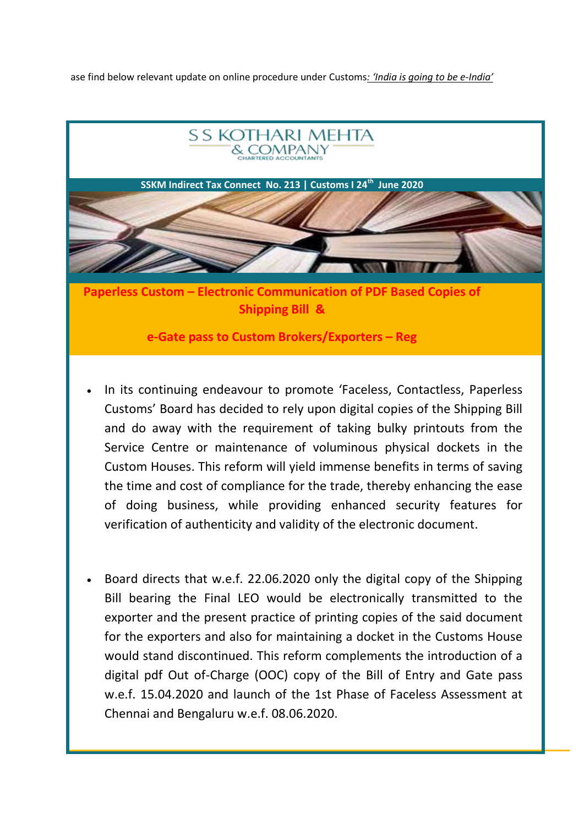ase find below relevant update on online procedure under Customs*: 'India is going to be e-India'*



- In its continuing endeavour to promote 'Faceless, Contactless, Paperless Customs' Board has decided to rely upon digital copies of the Shipping Bill and do away with the requirement of taking bulky printouts from the Service Centre or maintenance of voluminous physical dockets in the Custom Houses. This reform will yield immense benefits in terms of saving the time and cost of compliance for the trade, thereby enhancing the ease of doing business, while providing enhanced security features for verification of authenticity and validity of the electronic document.
- Board directs that w.e.f. 22.06.2020 only the digital copy of the Shipping Bill bearing the Final LEO would be electronically transmitted to the exporter and the present practice of printing copies of the said document for the exporters and also for maintaining a docket in the Customs House would stand discontinued. This reform complements the introduction of a digital pdf Out of-Charge (OOC) copy of the Bill of Entry and Gate pass w.e.f. 15.04.2020 and launch of the 1st Phase of Faceless Assessment at Chennai and Bengaluru w.e.f. 08.06.2020.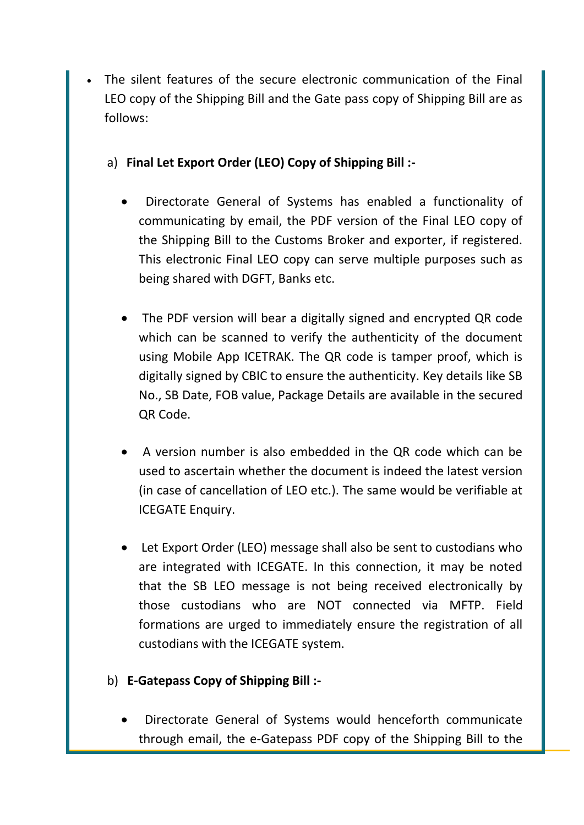- The silent features of the secure electronic communication of the Final LEO copy of the Shipping Bill and the Gate pass copy of Shipping Bill are as follows:
	- a) **Final Let Export Order (LEO) Copy of Shipping Bill :-**
		- Directorate General of Systems has enabled a functionality of communicating by email, the PDF version of the Final LEO copy of the Shipping Bill to the Customs Broker and exporter, if registered. This electronic Final LEO copy can serve multiple purposes such as being shared with DGFT, Banks etc.
		- The PDF version will bear a digitally signed and encrypted QR code which can be scanned to verify the authenticity of the document using Mobile App ICETRAK. The QR code is tamper proof, which is digitally signed by CBIC to ensure the authenticity. Key details like SB No., SB Date, FOB value, Package Details are available in the secured QR Code.
		- A version number is also embedded in the QR code which can be used to ascertain whether the document is indeed the latest version (in case of cancellation of LEO etc.). The same would be verifiable at ICEGATE Enquiry.
		- Let Export Order (LEO) message shall also be sent to custodians who are integrated with ICEGATE. In this connection, it may be noted that the SB LEO message is not being received electronically by those custodians who are NOT connected via MFTP. Field formations are urged to immediately ensure the registration of all custodians with the ICEGATE system.
	- b) **E-Gatepass Copy of Shipping Bill :-**
		- Directorate General of Systems would henceforth communicate through email, the e-Gatepass PDF copy of the Shipping Bill to the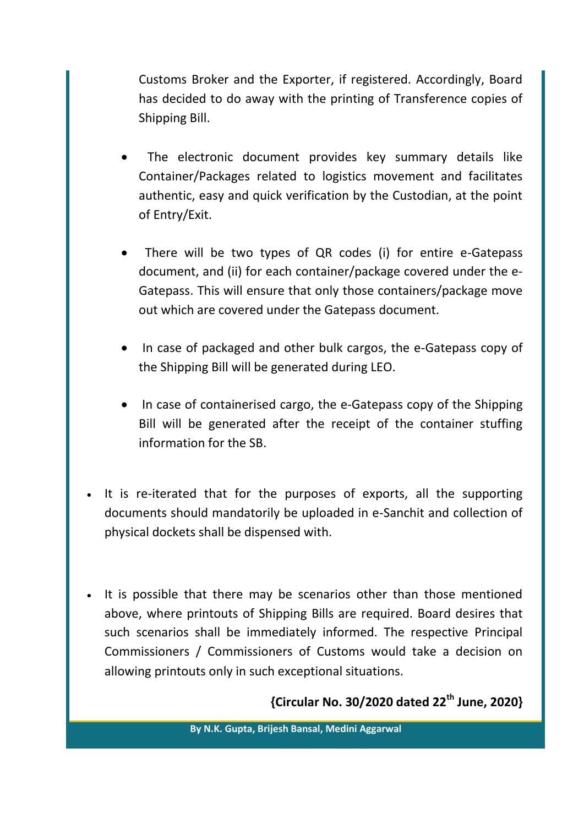Customs Broker and the Exporter, if registered. Accordingly, Board has decided to do away with the printing of Transference copies of Shipping Bill.

- The electronic document provides key summary details like Container/Packages related to logistics movement and facilitates authentic, easy and quick verification by the Custodian, at the point of Entry/Exit.
- There will be two types of QR codes (i) for entire e-Gatepass document, and (ii) for each container/package covered under the e-Gatepass. This will ensure that only those containers/package move out which are covered under the Gatepass document.
- In case of packaged and other bulk cargos, the e-Gatepass copy of the Shipping Bill will be generated during LEO.
- In case of containerised cargo, the e-Gatepass copy of the Shipping Bill will be generated after the receipt of the container stuffing information for the SB.
- It is re-iterated that for the purposes of exports, all the supporting documents should mandatorily be uploaded in e-Sanchit and collection of physical dockets shall be dispensed with.
- It is possible that there may be scenarios other than those mentioned above, where printouts of Shipping Bills are required. Board desires that such scenarios shall be immediately informed. The respective Principal Commissioners / Commissioners of Customs would take a decision on allowing printouts only in such exceptional situations.

**{Circular No. 30/2020 dated 22th June, 2020}**

**By N.K. Gupta, Brijesh Bansal, Medini Aggarwal**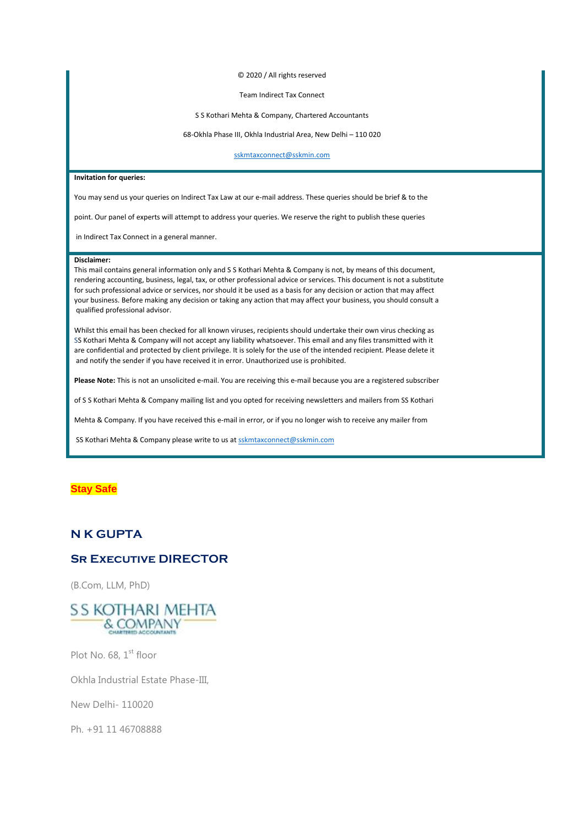© 2020 / All rights reserved

#### Team Indirect Tax Connect

#### S S Kothari Mehta & Company, Chartered Accountants

68-Okhla Phase III, Okhla Industrial Area, New Delhi – 110 020

[sskmtaxconnect@sskmin.com](mailto:sskmtaxconnect@sskmin.com)

### **Invitation for queries:**

You may send us your queries on Indirect Tax Law at our e-mail address. These queries should be brief & to the

point. Our panel of experts will attempt to address your queries. We reserve the right to publish these queries

in Indirect Tax Connect in a general manner.

#### **Disclaimer:**

This mail contains general information only and S S Kothari Mehta & Company is not, by means of this document, rendering accounting, business, legal, tax, or other professional advice or services. This document is not a substitute for such professional advice or services, nor should it be used as a basis for any decision or action that may affect your business. Before making any decision or taking any action that may affect your business, you should consult a qualified professional advisor.

Whilst this email has been checked for all known viruses, recipients should undertake their own virus checking as SS Kothari Mehta & Company will not accept any liability whatsoever. This email and any files transmitted with it are confidential and protected by client privilege. It is solely for the use of the intended recipient. Please delete it and notify the sender if you have received it in error. Unauthorized use is prohibited.

**Please Note:** This is not an unsolicited e-mail. You are receiving this e-mail because you are a registered subscriber

of S S Kothari Mehta & Company mailing list and you opted for receiving newsletters and mailers from SS Kothari

Mehta & Company. If you have received this e-mail in error, or if you no longer wish to receive any mailer from

SS Kothari Mehta & Company please write to us a[t sskmtaxconnect@sskmin.com](mailto:sskmtaxconnect@sskmin.com)

# **Stay Safe**

# **N K GUPTA**

# **SR EXECUTIVE DIRECTOR**

(B.Com, LLM, PhD)



Plot No.  $68.1<sup>st</sup>$  floor

Okhla Industrial Estate Phase-III,

New Delhi- 110020

Ph. +91 11 46708888